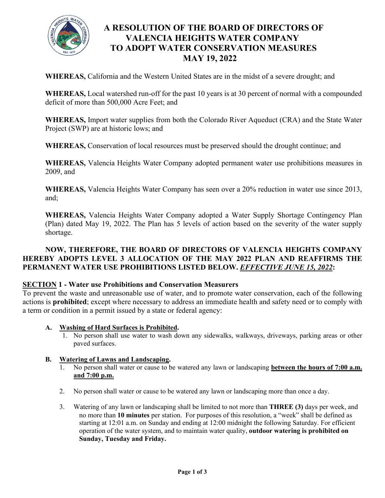

# **A RESOLUTION OF THE BOARD OF DIRECTORS OF VALENCIA HEIGHTS WATER COMPANY TO ADOPT WATER CONSERVATION MEASURES MAY 19, 2022**

**WHEREAS,** California and the Western United States are in the midst of a severe drought; and

**WHEREAS,** Local watershed run-off for the past 10 years is at 30 percent of normal with a compounded deficit of more than 500,000 Acre Feet; and

**WHEREAS,** Import water supplies from both the Colorado River Aqueduct (CRA) and the State Water Project (SWP) are at historic lows; and

**WHEREAS,** Conservation of local resources must be preserved should the drought continue; and

**WHEREAS,** Valencia Heights Water Company adopted permanent water use prohibitions measures in 2009, and

**WHEREAS,** Valencia Heights Water Company has seen over a 20% reduction in water use since 2013, and;

**WHEREAS,** Valencia Heights Water Company adopted a Water Supply Shortage Contingency Plan (Plan) dated May 19, 2022. The Plan has 5 levels of action based on the severity of the water supply shortage.

## **NOW, THEREFORE, THE BOARD OF DIRECTORS OF VALENCIA HEIGHTS COMPANY HEREBY ADOPTS LEVEL 3 ALLOCATION OF THE MAY 2022 PLAN AND REAFFIRMS THE PERMANENT WATER USE PROHIBITIONS LISTED BELOW.** *EFFECTIVE JUNE 15, 2022***:**

### **SECTION 1 - Water use Prohibitions and Conservation Measurers**

To prevent the waste and unreasonable use of water, and to promote water conservation, each of the following actions is **prohibited**; except where necessary to address an immediate health and safety need or to comply with a term or condition in a permit issued by a state or federal agency:

- **A. Washing of Hard Surfaces is Prohibited.**
	- 1. No person shall use water to wash down any sidewalks, walkways, driveways, parking areas or other paved surfaces.

### **B. Watering of Lawns and Landscaping.**

- 1. No person shall water or cause to be watered any lawn or landscaping **between the hours of 7:00 a.m. and 7:00 p.m.**
- 2. No person shall water or cause to be watered any lawn or landscaping more than once a day.
- 3. Watering of any lawn or landscaping shall be limited to not more than **THREE (3)** days per week, and no more than **10 minutes** per station. For purposes of this resolution, a "week" shall be defined as starting at 12:01 a.m. on Sunday and ending at 12:00 midnight the following Saturday. For efficient operation of the water system, and to maintain water quality, **outdoor watering is prohibited on Sunday, Tuesday and Friday.**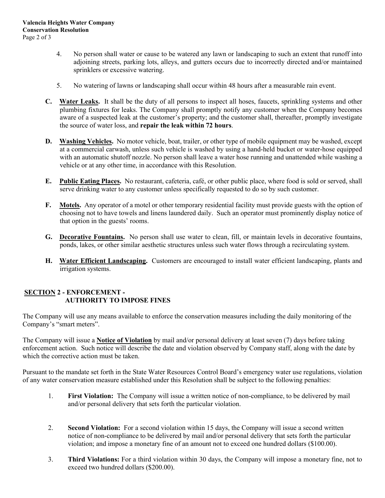- 4. No person shall water or cause to be watered any lawn or landscaping to such an extent that runoff into adjoining streets, parking lots, alleys, and gutters occurs due to incorrectly directed and/or maintained sprinklers or excessive watering.
- 5. No watering of lawns or landscaping shall occur within 48 hours after a measurable rain event.
- **C. Water Leaks.** It shall be the duty of all persons to inspect all hoses, faucets, sprinkling systems and other plumbing fixtures for leaks. The Company shall promptly notify any customer when the Company becomes aware of a suspected leak at the customer's property; and the customer shall, thereafter, promptly investigate the source of water loss, and **repair the leak within 72 hours**.
- **D. Washing Vehicles.** No motor vehicle, boat, trailer, or other type of mobile equipment may be washed, except at a commercial carwash, unless such vehicle is washed by using a hand-held bucket or water-hose equipped with an automatic shutoff nozzle. No person shall leave a water hose running and unattended while washing a vehicle or at any other time, in accordance with this Resolution.
- **E. Public Eating Places.** No restaurant, cafeteria, café, or other public place, where food is sold or served, shall serve drinking water to any customer unless specifically requested to do so by such customer.
- **F. Motels.** Any operator of a motel or other temporary residential facility must provide guests with the option of choosing not to have towels and linens laundered daily. Such an operator must prominently display notice of that option in the guests' rooms.
- **G. Decorative Fountains.** No person shall use water to clean, fill, or maintain levels in decorative fountains, ponds, lakes, or other similar aesthetic structures unless such water flows through a recirculating system.
- **H. Water Efficient Landscaping.** Customers are encouraged to install water efficient landscaping, plants and irrigation systems.

### **SECTION 2 - ENFORCEMENT - AUTHORITY TO IMPOSE FINES**

The Company will use any means available to enforce the conservation measures including the daily monitoring of the Company's "smart meters".

The Company will issue a **Notice of Violation** by mail and/or personal delivery at least seven (7) days before taking enforcement action. Such notice will describe the date and violation observed by Company staff, along with the date by which the corrective action must be taken.

Pursuant to the mandate set forth in the State Water Resources Control Board's emergency water use regulations, violation of any water conservation measure established under this Resolution shall be subject to the following penalties:

- 1. **First Violation:** The Company will issue a written notice of non-compliance, to be delivered by mail and/or personal delivery that sets forth the particular violation.
- 2. **Second Violation:** For a second violation within 15 days, the Company will issue a second written notice of non-compliance to be delivered by mail and/or personal delivery that sets forth the particular violation; and impose a monetary fine of an amount not to exceed one hundred dollars (\$100.00).
- 3. **Third Violations:** For a third violation within 30 days, the Company will impose a monetary fine, not to exceed two hundred dollars (\$200.00).